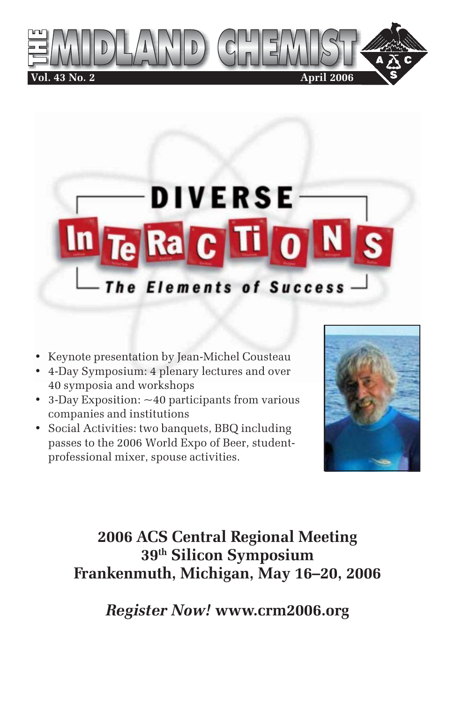



- Keynote presentation by Jean-Michel Cousteau
- 4-Day Symposium: 4 plenary lectures and over 40 symposia and workshops
- 3-Day Exposition: ~40 participants from various companies and institutions
- Social Activities: two banquets, BBQ including passes to the 2006 World Expo of Beer, studentprofessional mixer, spouse activities.



## **2006 ACS Central Regional Meeting 39th Silicon Symposium Frankenmuth, Michigan, May 16–20, 2006**

*Register Now!* **www.crm2006.org**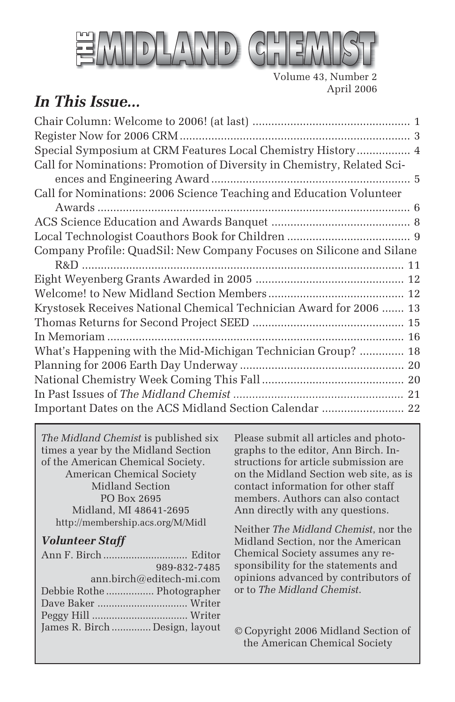

Volume 43, Number 2 April 2006

## *In This Issue...*

| Special Symposium at CRM Features Local Chemistry History 4             |
|-------------------------------------------------------------------------|
| Call for Nominations: Promotion of Diversity in Chemistry, Related Sci- |
|                                                                         |
| Call for Nominations: 2006 Science Teaching and Education Volunteer     |
|                                                                         |
|                                                                         |
|                                                                         |
| Company Profile: QuadSil: New Company Focuses on Silicone and Silane    |
|                                                                         |
|                                                                         |
|                                                                         |
| Krystosek Receives National Chemical Technician Award for 2006  13      |
|                                                                         |
|                                                                         |
| What's Happening with the Mid-Michigan Technician Group?  18            |
|                                                                         |
|                                                                         |
|                                                                         |
| Important Dates on the ACS Midland Section Calendar  22                 |
|                                                                         |

*The Midland Chemist* is published six times a year by the Midland Section of the American Chemical Society. American Chemical Society Midland Section PO Box 2695 Midland, MI 48641-2695 http://membership.acs.org/M/Midl

#### *Volunteer Staff*

| 989-832-7485                   |
|--------------------------------|
| ann.birch@editech-mi.com       |
| Debbie Rothe  Photographer     |
|                                |
|                                |
| James R. Birch  Design, layout |
|                                |

Please submit all articles and photographs to the editor, Ann Birch. Instructions for article submission are on the Midland Section web site, as is contact information for other staff members. Authors can also contact Ann directly with any questions.

Neither *The Midland Chemist*, nor the Midland Section, nor the American Chemical Society assumes any responsibility for the statements and opinions advanced by contributors of or to *The Midland Chemist*.

© Copyright 2006 Midland Section of the American Chemical Society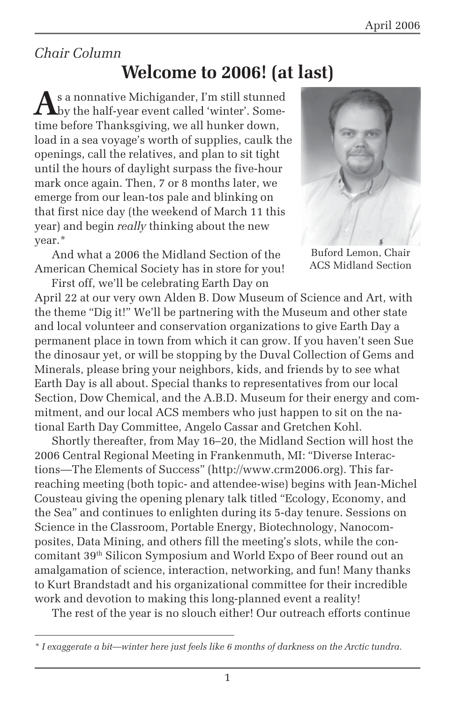## *Chair Column*

## **Welcome to 2006! (at last)**

**A**s a nonnative Michigander, I'm still stunned by the half-year event called 'winter'. Sometime before Thanksgiving, we all hunker down, load in a sea voyage's worth of supplies, caulk the openings, call the relatives, and plan to sit tight until the hours of daylight surpass the five-hour mark once again. Then, 7 or 8 months later, we emerge from our lean-tos pale and blinking on that first nice day (the weekend of March 11 this year) and begin *really* thinking about the new year.\*

And what a 2006 the Midland Section of the American Chemical Society has in store for you!



ACS Midland Section

First off, we'll be celebrating Earth Day on April 22 at our very own Alden B. Dow Museum of Science and Art, with the theme "Dig it!" We'll be partnering with the Museum and other state and local volunteer and conservation organizations to give Earth Day a permanent place in town from which it can grow. If you haven't seen Sue the dinosaur yet, or will be stopping by the Duval Collection of Gems and Minerals, please bring your neighbors, kids, and friends by to see what Earth Day is all about. Special thanks to representatives from our local Section, Dow Chemical, and the A.B.D. Museum for their energy and commitment, and our local ACS members who just happen to sit on the national Earth Day Committee, Angelo Cassar and Gretchen Kohl.

Shortly thereafter, from May 16–20, the Midland Section will host the 2006 Central Regional Meeting in Frankenmuth, MI: "Diverse Interactions—The Elements of Success" (http://www.crm2006.org). This farreaching meeting (both topic- and attendee-wise) begins with Jean-Michel Cousteau giving the opening plenary talk titled "Ecology, Economy, and the Sea" and continues to enlighten during its 5-day tenure. Sessions on Science in the Classroom, Portable Energy, Biotechnology, Nanocomposites, Data Mining, and others fill the meeting's slots, while the concomitant 39th Silicon Symposium and World Expo of Beer round out an amalgamation of science, interaction, networking, and fun! Many thanks to Kurt Brandstadt and his organizational committee for their incredible work and devotion to making this long-planned event a reality!

The rest of the year is no slouch either! Our outreach efforts continue

*<sup>\*</sup> I exaggerate a bit—winter here just feels like 6 months of darkness on the Arctic tundra.*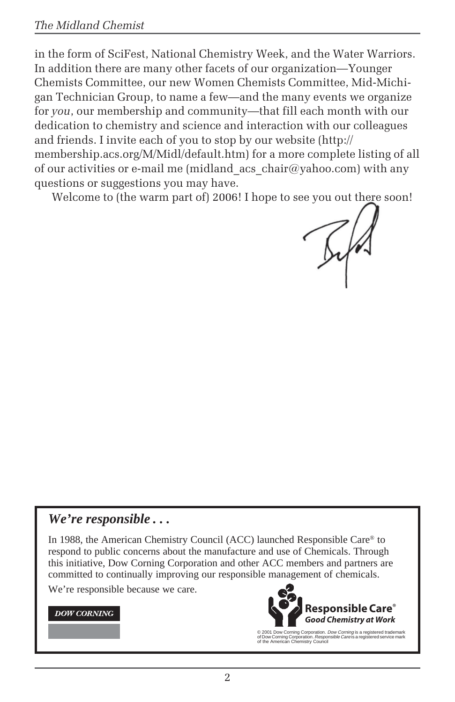in the form of SciFest, National Chemistry Week, and the Water Warriors. In addition there are many other facets of our organization—Younger Chemists Committee, our new Women Chemists Committee, Mid-Michigan Technician Group, to name a few—and the many events we organize for *you*, our membership and community—that fill each month with our dedication to chemistry and science and interaction with our colleagues and friends. I invite each of you to stop by our website (http:// membership.acs.org/M/Midl/default.htm) for a more complete listing of all of our activities or e-mail me (midland  $\text{acs } \text{chair@vahoo.com}$ ) with any questions or suggestions you may have.

Welcome to (the warm part of) 2006! I hope to see you out there soon!

#### *We're responsible . . .*

In 1988, the American Chemistry Council (ACC) launched Responsible Care® to respond to public concerns about the manufacture and use of Chemicals. Through this initiative, Dow Corning Corporation and other ACC members and partners are committed to continually improving our responsible management of chemicals.

We're responsible because we care.

#### **DOW CORNING**



© 2001 Dow Corning Corporation. *Dow Corning* is a registered trademark<br>of Dow Corning Corporation. *Responsible Care* is a registered service mark<br>of the American Chemistry Council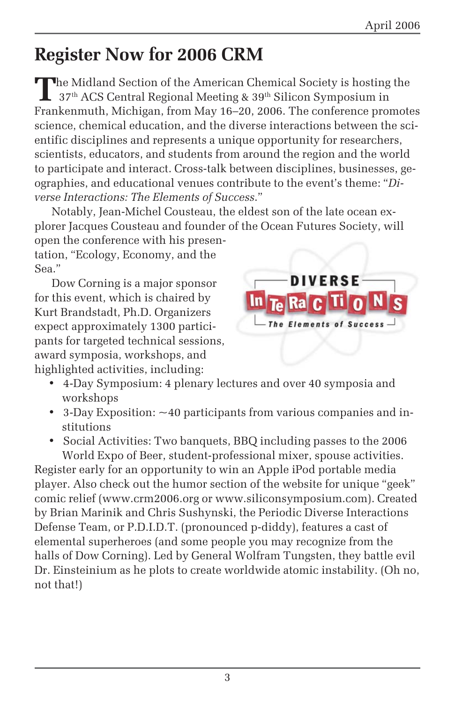# **Register Now for 2006 CRM**

The Midland Section of the American Chemical Society is hosting the 37<sup>th</sup> ACS Central Regional Meeting & 39<sup>th</sup> Silicon Symposium in Frankenmuth, Michigan, from May 16–20, 2006. The conference promotes science, chemical education, and the diverse interactions between the scientific disciplines and represents a unique opportunity for researchers, scientists, educators, and students from around the region and the world to participate and interact. Cross-talk between disciplines, businesses, geographies, and educational venues contribute to the event's theme: "*Diverse Interactions: The Elements of Success*."

Notably, Jean-Michel Cousteau, the eldest son of the late ocean explorer Jacques Cousteau and founder of the Ocean Futures Society, will open the conference with his presentation, "Ecology, Economy, and the

Sea."

Dow Corning is a major sponsor for this event, which is chaired by Kurt Brandstadt, Ph.D. Organizers expect approximately 1300 participants for targeted technical sessions, award symposia, workshops, and highlighted activities, including:



- 4-Day Symposium: 4 plenary lectures and over 40 symposia and workshops
- 3-Day Exposition: ~40 participants from various companies and institutions
- Social Activities: Two banquets, BBQ including passes to the 2006 World Expo of Beer, student-professional mixer, spouse activities.

Register early for an opportunity to win an Apple iPod portable media player. Also check out the humor section of the website for unique "geek" comic relief (www.crm2006.org or www.siliconsymposium.com). Created by Brian Marinik and Chris Sushynski, the Periodic Diverse Interactions Defense Team, or P.D.I.D.T. (pronounced p-diddy), features a cast of elemental superheroes (and some people you may recognize from the halls of Dow Corning). Led by General Wolfram Tungsten, they battle evil Dr. Einsteinium as he plots to create worldwide atomic instability. (Oh no, not that!)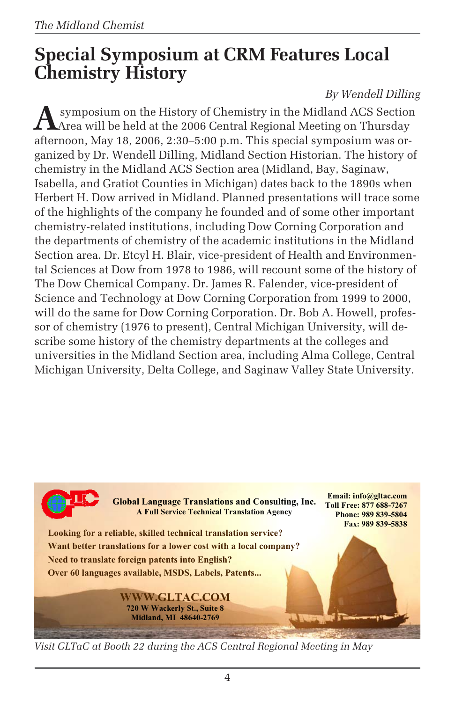## **Special Symposium at CRM Features Local Chemistry History**

### *By Wendell Dilling*

**A** symposium on the History of Chemistry in the Midland ACS Section Area will be held at the 2006 Central Regional Meeting on Thursday afternoon, May 18, 2006, 2:30–5:00 p.m. This special symposium was organized by Dr. Wendell Dilling, Midland Section Historian. The history of chemistry in the Midland ACS Section area (Midland, Bay, Saginaw, Isabella, and Gratiot Counties in Michigan) dates back to the 1890s when Herbert H. Dow arrived in Midland. Planned presentations will trace some of the highlights of the company he founded and of some other important chemistry-related institutions, including Dow Corning Corporation and the departments of chemistry of the academic institutions in the Midland Section area. Dr. Etcyl H. Blair, vice-president of Health and Environmental Sciences at Dow from 1978 to 1986, will recount some of the history of The Dow Chemical Company. Dr. James R. Falender, vice-president of Science and Technology at Dow Corning Corporation from 1999 to 2000, will do the same for Dow Corning Corporation. Dr. Bob A. Howell, professor of chemistry (1976 to present), Central Michigan University, will describe some history of the chemistry departments at the colleges and universities in the Midland Section area, including Alma College, Central Michigan University, Delta College, and Saginaw Valley State University.



*Visit GLTaC at Booth 22 during the ACS Central Regional Meeting in May*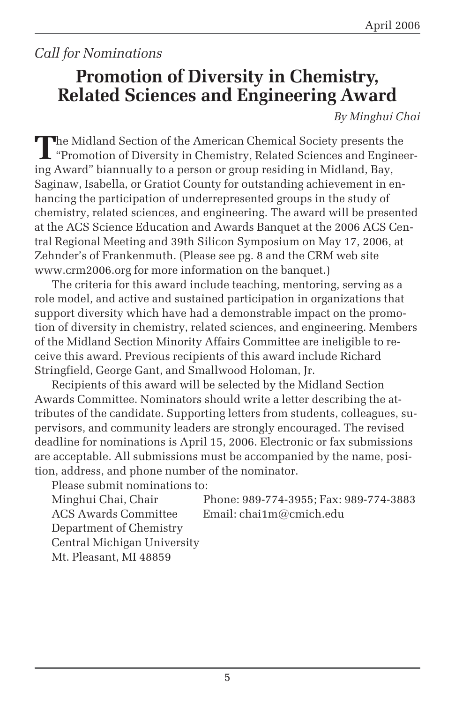## *Call for Nominations*

## **Promotion of Diversity in Chemistry, Related Sciences and Engineering Award**

*By Minghui Chai*

The Midland Section of the American Chemical Society presents the<br>"Promotion of Diversity in Chemistry, Related Sciences and Engineering Award" biannually to a person or group residing in Midland, Bay, Saginaw, Isabella, or Gratiot County for outstanding achievement in enhancing the participation of underrepresented groups in the study of chemistry, related sciences, and engineering. The award will be presented at the ACS Science Education and Awards Banquet at the 2006 ACS Central Regional Meeting and 39th Silicon Symposium on May 17, 2006, at Zehnder's of Frankenmuth. (Please see pg. 8 and the CRM web site www.crm2006.org for more information on the banquet.)

The criteria for this award include teaching, mentoring, serving as a role model, and active and sustained participation in organizations that support diversity which have had a demonstrable impact on the promotion of diversity in chemistry, related sciences, and engineering. Members of the Midland Section Minority Affairs Committee are ineligible to receive this award. Previous recipients of this award include Richard Stringfield, George Gant, and Smallwood Holoman, Jr.

Recipients of this award will be selected by the Midland Section Awards Committee. Nominators should write a letter describing the attributes of the candidate. Supporting letters from students, colleagues, supervisors, and community leaders are strongly encouraged. The revised deadline for nominations is April 15, 2006. Electronic or fax submissions are acceptable. All submissions must be accompanied by the name, position, address, and phone number of the nominator.

Please submit nominations to: Minghui Chai, Chair Phone: 989-774-3955; Fax: 989-774-3883 ACS Awards Committee Email: chai1m@cmich.edu Department of Chemistry Central Michigan University Mt. Pleasant, MI 48859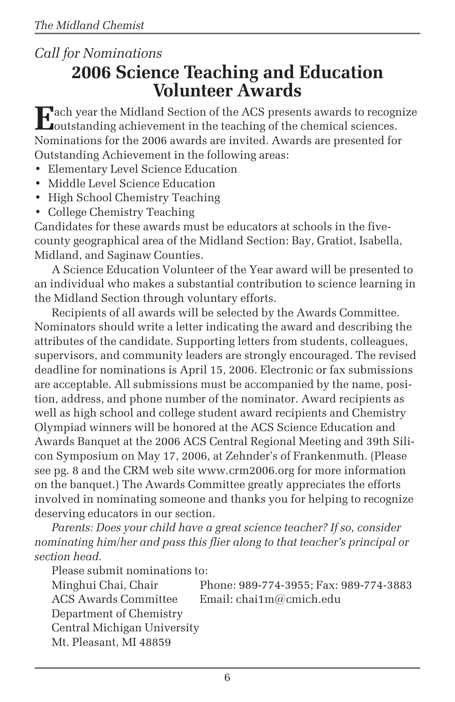## *Call for Nominations* **2006 Science Teaching and Education Volunteer Awards**

**E**ach year the Midland Section of the ACS presents awards to recognize<br>coutstanding achievement in the teaching of the chemical sciences. Nominations for the 2006 awards are invited. Awards are presented for Outstanding Achievement in the following areas:

- Elementary Level Science Education
- Middle Level Science Education
- High School Chemistry Teaching
- College Chemistry Teaching

Candidates for these awards must be educators at schools in the fivecounty geographical area of the Midland Section: Bay, Gratiot, Isabella, Midland, and Saginaw Counties.

A Science Education Volunteer of the Year award will be presented to an individual who makes a substantial contribution to science learning in the Midland Section through voluntary efforts.

Recipients of all awards will be selected by the Awards Committee. Nominators should write a letter indicating the award and describing the attributes of the candidate. Supporting letters from students, colleagues, supervisors, and community leaders are strongly encouraged. The revised deadline for nominations is April 15, 2006. Electronic or fax submissions are acceptable. All submissions must be accompanied by the name, position, address, and phone number of the nominator. Award recipients as well as high school and college student award recipients and Chemistry Olympiad winners will be honored at the ACS Science Education and Awards Banquet at the 2006 ACS Central Regional Meeting and 39th Silicon Symposium on May 17, 2006, at Zehnder's of Frankenmuth. (Please see pg. 8 and the CRM web site www.crm2006.org for more information on the banquet.) The Awards Committee greatly appreciates the efforts involved in nominating someone and thanks you for helping to recognize deserving educators in our section.

*Parents: Does your child have a great science teacher? If so, consider nominating him/her and pass this flier along to that teacher's principal or section head.*

Please submit nominations to:

Minghui Chai, Chair Phone: 989-774-3955; Fax: 989-774-3883 ACS Awards Committee Email: chai1m@cmich.edu Department of Chemistry Central Michigan University Mt. Pleasant, MI 48859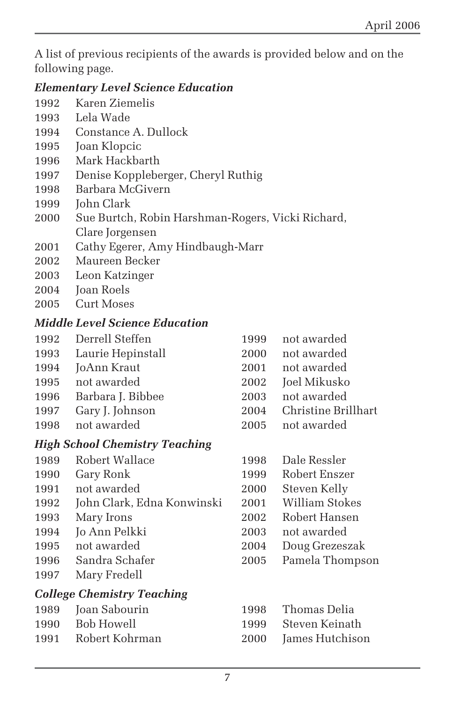A list of previous recipients of the awards is provided below and on the following page.

#### *Elementary Level Science Education*

- 1992 Karen Ziemelis
- 1993 Lela Wade
- 1994 Constance A. Dullock
- 1995 Joan Klopcic
- 1996 Mark Hackbarth
- 1997 Denise Koppleberger, Cheryl Ruthig
- 1998 Barbara McGivern
- 1999 John Clark
- 2000 Sue Burtch, Robin Harshman-Rogers, Vicki Richard, Clare Jorgensen
- 2001 Cathy Egerer, Amy Hindbaugh-Marr
- 2002 Maureen Becker
- 2003 Leon Katzinger
- 2004 **Joan Roels**
- 2005 Curt Moses

#### *Middle Level Science Education*

1992 Derrell Steffen 1999 not awarded 1993 Laurie Hepinstall 2000 not awarded 1994 JoAnn Kraut 2001 not awarded 1995 not awarded 2002 Joel Mikusko 1996 Barbara J. Bibbee 2003 not awarded 1997 Gary J. Johnson 2004 Christine Brillhart 1998 not awarded 2005 not awarded

#### *High School Chemistry Teaching*

- 1989 Robert Wallace 1998 Dale Ressler
- 
- 
- 1992 John Clark, Edna Konwinski 2001 William Stokes
- 
- 1994 Jo Ann Pelkki 2003 not awarded
- 
- 
- 1997 Mary Fredell

#### *College Chemistry Teaching*

| 1989 Joan Sabourin    | 1998 Thomas Delia       |
|-----------------------|-------------------------|
| 1990 Bob Howell       | - 1999 - Steven Keinath |
| 1991 – Robert Kohrman | 2000 James Hutchison    |

1990 Gary Ronk 1999 Robert Enszer 1991 not awarded 2000 Steven Kelly 1993 Mary Irons 2002 Robert Hansen 1995 not awarded 2004 Doug Grezeszak 1996 Sandra Schafer 2005 Pamela Thompson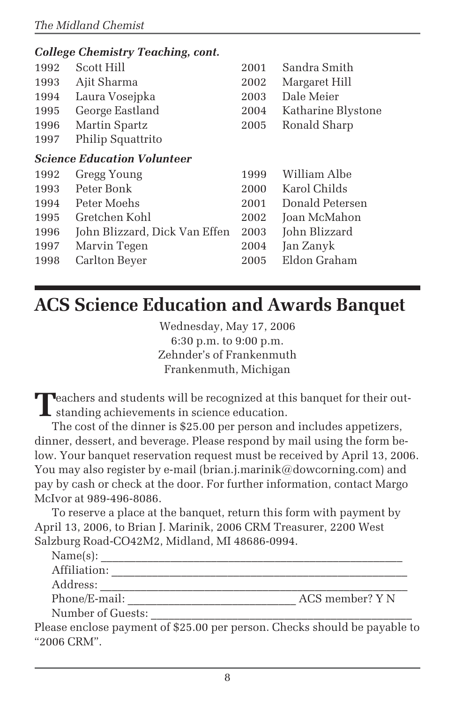|                                    | <b>College Chemistry Teaching, cont.</b> |      |                    |
|------------------------------------|------------------------------------------|------|--------------------|
| 1992                               | Scott Hill                               | 2001 | Sandra Smith       |
| 1993                               | Ajit Sharma                              | 2002 | Margaret Hill      |
| 1994                               | Laura Vosejpka                           | 2003 | Dale Meier         |
| 1995                               | George Eastland                          | 2004 | Katharine Blystone |
| 1996                               | Martin Spartz                            | 2005 | Ronald Sharp       |
| 1997                               | Philip Squattrito                        |      |                    |
| <b>Science Education Volunteer</b> |                                          |      |                    |
| 1992                               | Gregg Young                              | 1999 | William Albe       |
| 1993                               | Peter Bonk                               | 2000 | Karol Childs       |
| 1994                               | Peter Moehs                              | 2001 | Donald Petersen    |
| 1995                               | Gretchen Kohl                            | 2002 | Joan McMahon       |
| 1996                               | John Blizzard, Dick Van Effen            | 2003 | John Blizzard      |
| 1997                               | Marvin Tegen                             | 2004 | Jan Zanyk          |
| 1998                               | Carlton Beyer                            | 2005 | Eldon Graham       |
|                                    |                                          |      |                    |

# **ACS Science Education and Awards Banquet**

Wednesday, May 17, 2006 6:30 p.m. to 9:00 p.m. Zehnder's of Frankenmuth Frankenmuth, Michigan

**T**eachers and students will be recognized at this banquet for their out-I standing achievements in science education.

The cost of the dinner is \$25.00 per person and includes appetizers, dinner, dessert, and beverage. Please respond by mail using the form below. Your banquet reservation request must be received by April 13, 2006. You may also register by e-mail (brian.j.marinik@dowcorning.com) and pay by cash or check at the door. For further information, contact Margo McIvor at 989-496-8086.

To reserve a place at the banquet, return this form with payment by April 13, 2006, to Brian J. Marinik, 2006 CRM Treasurer, 2200 West Salzburg Road-CO42M2, Midland, MI 48686-0994.

| Name(s):          |                                                                        |
|-------------------|------------------------------------------------------------------------|
| Affiliation:      |                                                                        |
| Address:          |                                                                        |
| Phone/E-mail:     | ACS member? Y N                                                        |
| Number of Guests: |                                                                        |
|                   | ase enclose nayment of \$25.00 per person. Checks should be payable to |

Please enclose payment of \$25.00 per person. Checks should be payable to "2006 CRM".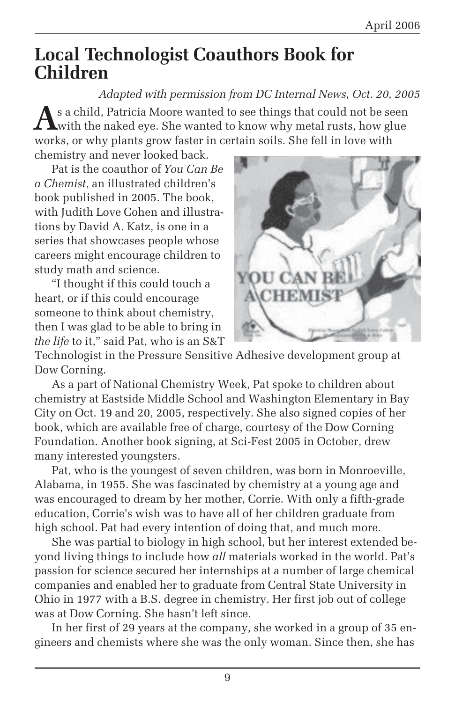## **Local Technologist Coauthors Book for Children**

*Adapted with permission from DC Internal News, Oct. 20, 2005* As a child, Patricia Moore wanted to see things that could not be seen<br>with the naked eye. She wanted to know why metal rusts, how glue works, or why plants grow faster in certain soils. She fell in love with chemistry and never looked back.

Pat is the coauthor of *You Can Be a Chemist*, an illustrated children's book published in 2005. The book, with Judith Love Cohen and illustrations by David A. Katz, is one in a series that showcases people whose careers might encourage children to study math and science.

"I thought if this could touch a heart, or if this could encourage someone to think about chemistry, then I was glad to be able to bring in *the life* to it," said Pat, who is an S&T



Technologist in the Pressure Sensitive Adhesive development group at Dow Corning.

As a part of National Chemistry Week, Pat spoke to children about chemistry at Eastside Middle School and Washington Elementary in Bay City on Oct. 19 and 20, 2005, respectively. She also signed copies of her book, which are available free of charge, courtesy of the Dow Corning Foundation. Another book signing, at Sci-Fest 2005 in October, drew many interested youngsters.

Pat, who is the youngest of seven children, was born in Monroeville, Alabama, in 1955. She was fascinated by chemistry at a young age and was encouraged to dream by her mother, Corrie. With only a fifth-grade education, Corrie's wish was to have all of her children graduate from high school. Pat had every intention of doing that, and much more.

She was partial to biology in high school, but her interest extended beyond living things to include how *all* materials worked in the world. Pat's passion for science secured her internships at a number of large chemical companies and enabled her to graduate from Central State University in Ohio in 1977 with a B.S. degree in chemistry. Her first job out of college was at Dow Corning. She hasn't left since.

In her first of 29 years at the company, she worked in a group of 35 engineers and chemists where she was the only woman. Since then, she has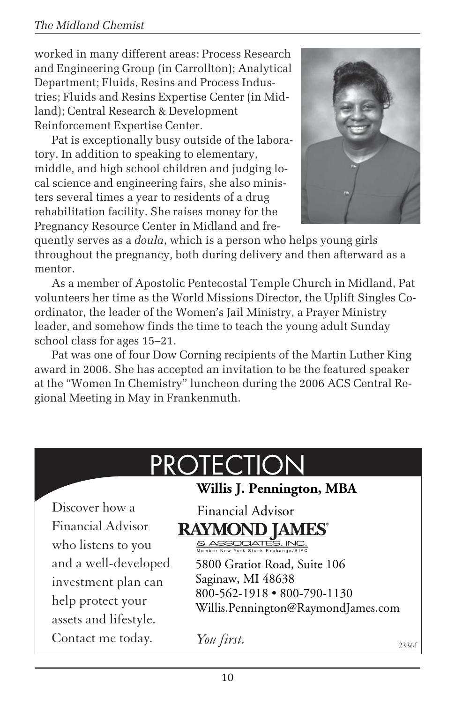#### *The Midland Chemist*

worked in many different areas: Process Research and Engineering Group (in Carrollton); Analytical Department; Fluids, Resins and Process Industries; Fluids and Resins Expertise Center (in Midland); Central Research & Development Reinforcement Expertise Center.

Pat is exceptionally busy outside of the laboratory. In addition to speaking to elementary, middle, and high school children and judging local science and engineering fairs, she also ministers several times a year to residents of a drug rehabilitation facility. She raises money for the Pregnancy Resource Center in Midland and fre-



quently serves as a *doula*, which is a person who helps young girls throughout the pregnancy, both during delivery and then afterward as a mentor.

As a member of Apostolic Pentecostal Temple Church in Midland, Pat volunteers her time as the World Missions Director, the Uplift Singles Coordinator, the leader of the Women's Jail Ministry, a Prayer Ministry leader, and somehow finds the time to teach the young adult Sunday school class for ages 15–21.

Pat was one of four Dow Corning recipients of the Martin Luther King award in 2006. She has accepted an invitation to be the featured speaker at the "Women In Chemistry" luncheon during the 2006 ACS Central Regional Meeting in May in Frankenmuth.

# **PROTECTION**

**Willis J. Pennington, MBA**

Discover how a Financial Advisor who listens to you and a well-developed investment plan can help protect your assets and lifestyle. Contact me today.

## Financial Advisor **RAYMOND IAMES** SASSOCIATE

5800 Gratiot Road, Suite 106 Saginaw, MI 48638 800-562-1918 • 800-790-1130 Willis.Pennington@RaymondJames.com

*You first.* 2336f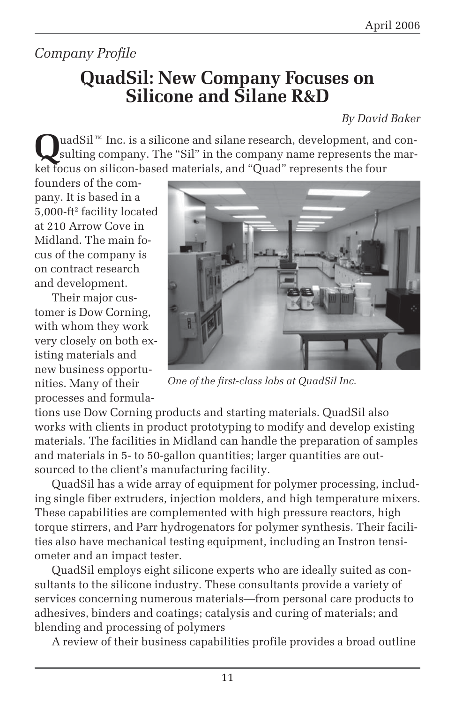## *Company Profile*

## **QuadSil: New Company Focuses on Silicone and Silane R&D**

*By David Baker*

QuadSil™ Inc. is a silicone and silane research, development, and con-<br>sulting company. The "Sil" in the company name represents the market focus on silicon-based materials, and "Quad" represents the four

founders of the company. It is based in a 5,000-ft2 facility located at 210 Arrow Cove in Midland. The main focus of the company is on contract research and development.

Their major customer is Dow Corning, with whom they work very closely on both existing materials and new business opportunities. Many of their processes and formula-



*One of the first-class labs at QuadSil Inc.*

tions use Dow Corning products and starting materials. QuadSil also works with clients in product prototyping to modify and develop existing materials. The facilities in Midland can handle the preparation of samples and materials in 5- to 50-gallon quantities; larger quantities are outsourced to the client's manufacturing facility.

QuadSil has a wide array of equipment for polymer processing, including single fiber extruders, injection molders, and high temperature mixers. These capabilities are complemented with high pressure reactors, high torque stirrers, and Parr hydrogenators for polymer synthesis. Their facilities also have mechanical testing equipment, including an Instron tensiometer and an impact tester.

QuadSil employs eight silicone experts who are ideally suited as consultants to the silicone industry. These consultants provide a variety of services concerning numerous materials—from personal care products to adhesives, binders and coatings; catalysis and curing of materials; and blending and processing of polymers

A review of their business capabilities profile provides a broad outline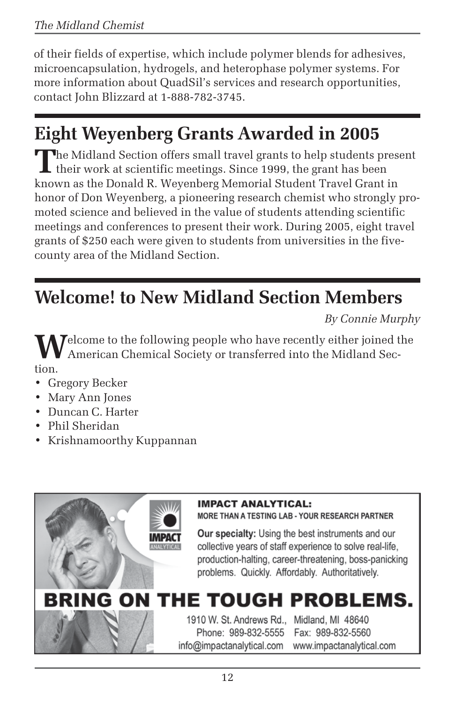of their fields of expertise, which include polymer blends for adhesives, microencapsulation, hydrogels, and heterophase polymer systems. For more information about QuadSil's services and research opportunities, contact John Blizzard at 1-888-782-3745.

# **Eight Weyenberg Grants Awarded in 2005**

The Midland Section offers small travel grants to help students present I their work at scientific meetings. Since 1999, the grant has been known as the Donald R. Weyenberg Memorial Student Travel Grant in honor of Don Weyenberg, a pioneering research chemist who strongly promoted science and believed in the value of students attending scientific meetings and conferences to present their work. During 2005, eight travel grants of \$250 each were given to students from universities in the fivecounty area of the Midland Section.

# **Welcome! to New Midland Section Members**

*By Connie Murphy*

**W**elcome to the following people who have recently either joined the American Chemical Society or transferred into the Midland Section.

- Gregory Becker
- Mary Ann Jones
- Duncan C. Harter
- Phil Sheridan
- Krishnamoorthy Kuppannan



**MORE THAN A TESTING LAB - YOUR RESEARCH PARTNER** 

Our specialty: Using the best instruments and our collective years of staff experience to solve real-life, production-halting, career-threatening, boss-panicking problems. Quickly. Affordably. Authoritatively.

#### BRING ON TI HE TOUGH PROBLEMS.

1910 W. St. Andrews Rd., Midland, MI 48640 Phone: 989-832-5555 info@impactanalytical.com

Fax: 989-832-5560 www.impactanalytical.com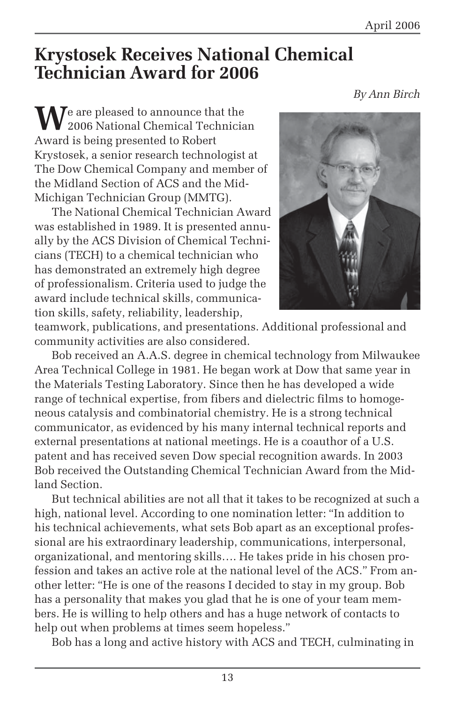## **Krystosek Receives National Chemical Technician Award for 2006**

We are pleased to announce that the<br>2006 National Chemical Technician Award is being presented to Robert Krystosek, a senior research technologist at The Dow Chemical Company and member of the Midland Section of ACS and the Mid-Michigan Technician Group (MMTG).

The National Chemical Technician Award was established in 1989. It is presented annually by the ACS Division of Chemical Technicians (TECH) to a chemical technician who has demonstrated an extremely high degree of professionalism. Criteria used to judge the award include technical skills, communication skills, safety, reliability, leadership,



teamwork, publications, and presentations. Additional professional and community activities are also considered.

Bob received an A.A.S. degree in chemical technology from Milwaukee Area Technical College in 1981. He began work at Dow that same year in the Materials Testing Laboratory. Since then he has developed a wide range of technical expertise, from fibers and dielectric films to homogeneous catalysis and combinatorial chemistry. He is a strong technical communicator, as evidenced by his many internal technical reports and external presentations at national meetings. He is a coauthor of a U.S. patent and has received seven Dow special recognition awards. In 2003 Bob received the Outstanding Chemical Technician Award from the Midland Section.

But technical abilities are not all that it takes to be recognized at such a high, national level. According to one nomination letter: "In addition to his technical achievements, what sets Bob apart as an exceptional professional are his extraordinary leadership, communications, interpersonal, organizational, and mentoring skills…. He takes pride in his chosen profession and takes an active role at the national level of the ACS." From another letter: "He is one of the reasons I decided to stay in my group. Bob has a personality that makes you glad that he is one of your team members. He is willing to help others and has a huge network of contacts to help out when problems at times seem hopeless."

Bob has a long and active history with ACS and TECH, culminating in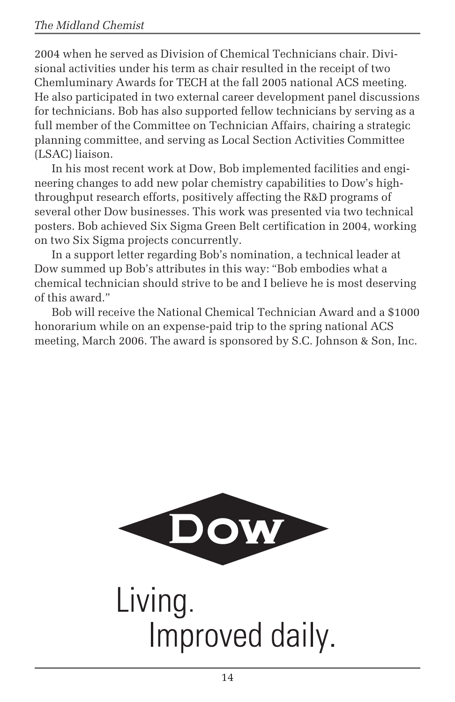2004 when he served as Division of Chemical Technicians chair. Divisional activities under his term as chair resulted in the receipt of two Chemluminary Awards for TECH at the fall 2005 national ACS meeting. He also participated in two external career development panel discussions for technicians. Bob has also supported fellow technicians by serving as a full member of the Committee on Technician Affairs, chairing a strategic planning committee, and serving as Local Section Activities Committee (LSAC) liaison.

In his most recent work at Dow, Bob implemented facilities and engineering changes to add new polar chemistry capabilities to Dow's highthroughput research efforts, positively affecting the R&D programs of several other Dow businesses. This work was presented via two technical posters. Bob achieved Six Sigma Green Belt certification in 2004, working on two Six Sigma projects concurrently.

In a support letter regarding Bob's nomination, a technical leader at Dow summed up Bob's attributes in this way: "Bob embodies what a chemical technician should strive to be and I believe he is most deserving of this award."

Bob will receive the National Chemical Technician Award and a \$1000 honorarium while on an expense-paid trip to the spring national ACS meeting, March 2006. The award is sponsored by S.C. Johnson & Son, Inc.



Living. Improved daily.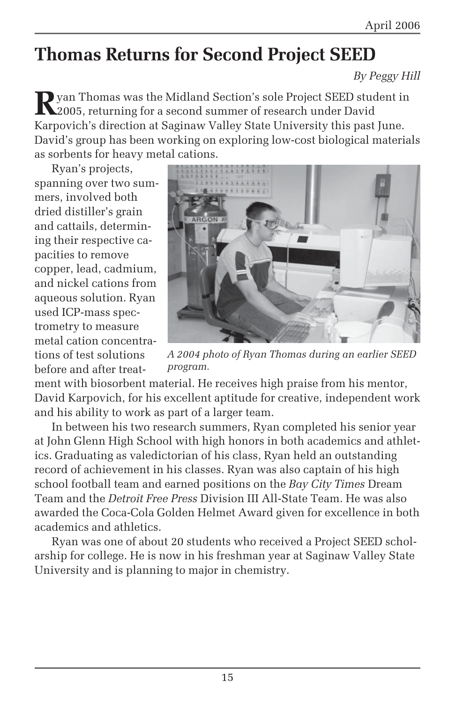# **Thomas Returns for Second Project SEED**

*By Peggy Hill*

**R**yan Thomas was the Midland Section's sole Project SEED student in 2005, returning for a second summer of research under David Karpovich's direction at Saginaw Valley State University this past June. David's group has been working on exploring low-cost biological materials as sorbents for heavy metal cations.

Ryan's projects, spanning over two summers, involved both dried distiller's grain and cattails, determining their respective capacities to remove copper, lead, cadmium, and nickel cations from aqueous solution. Ryan used ICP-mass spectrometry to measure metal cation concentrations of test solutions before and after treat-



*A 2004 photo of Ryan Thomas during an earlier SEED program.*

ment with biosorbent material. He receives high praise from his mentor, David Karpovich, for his excellent aptitude for creative, independent work and his ability to work as part of a larger team.

In between his two research summers, Ryan completed his senior year at John Glenn High School with high honors in both academics and athletics. Graduating as valedictorian of his class, Ryan held an outstanding record of achievement in his classes. Ryan was also captain of his high school football team and earned positions on the *Bay City Times* Dream Team and the *Detroit Free Press* Division III All-State Team. He was also awarded the Coca-Cola Golden Helmet Award given for excellence in both academics and athletics.

Ryan was one of about 20 students who received a Project SEED scholarship for college. He is now in his freshman year at Saginaw Valley State University and is planning to major in chemistry.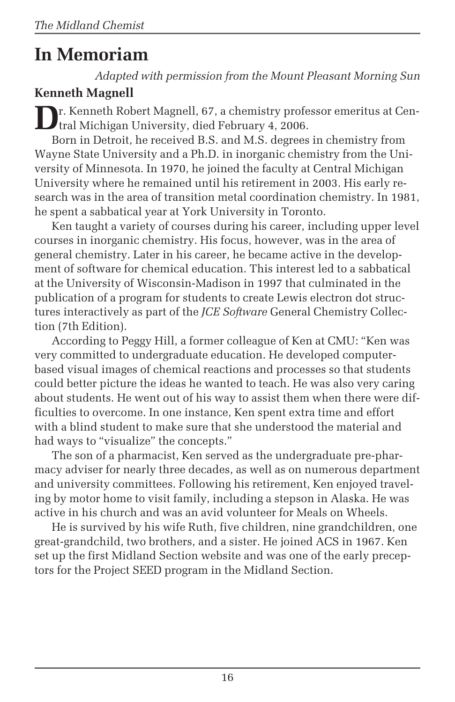# **In Memoriam**

*Adapted with permission from the Mount Pleasant Morning Sun*

## **Kenneth Magnell**

**D**r. Kenneth Robert Magnell, 67, a chemistry professor emeritus at Central Michigan University, died February 4, 2006.

Born in Detroit, he received B.S. and M.S. degrees in chemistry from Wayne State University and a Ph.D. in inorganic chemistry from the University of Minnesota. In 1970, he joined the faculty at Central Michigan University where he remained until his retirement in 2003. His early research was in the area of transition metal coordination chemistry. In 1981, he spent a sabbatical year at York University in Toronto.

Ken taught a variety of courses during his career, including upper level courses in inorganic chemistry. His focus, however, was in the area of general chemistry. Later in his career, he became active in the development of software for chemical education. This interest led to a sabbatical at the University of Wisconsin-Madison in 1997 that culminated in the publication of a program for students to create Lewis electron dot structures interactively as part of the *JCE Software* General Chemistry Collection (7th Edition).

According to Peggy Hill, a former colleague of Ken at CMU: "Ken was very committed to undergraduate education. He developed computerbased visual images of chemical reactions and processes so that students could better picture the ideas he wanted to teach. He was also very caring about students. He went out of his way to assist them when there were difficulties to overcome. In one instance, Ken spent extra time and effort with a blind student to make sure that she understood the material and had ways to "visualize" the concepts."

The son of a pharmacist, Ken served as the undergraduate pre-pharmacy adviser for nearly three decades, as well as on numerous department and university committees. Following his retirement, Ken enjoyed traveling by motor home to visit family, including a stepson in Alaska. He was active in his church and was an avid volunteer for Meals on Wheels.

He is survived by his wife Ruth, five children, nine grandchildren, one great-grandchild, two brothers, and a sister. He joined ACS in 1967. Ken set up the first Midland Section website and was one of the early preceptors for the Project SEED program in the Midland Section.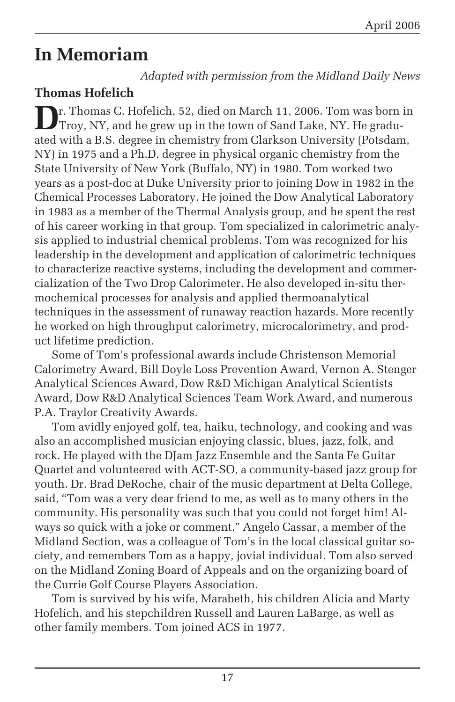# **In Memoriam**

*Adapted with permission from the Midland Daily News*

## **Thomas Hofelich**

**D**r. Thomas C. Hofelich, 52, died on March 11, 2006. Tom was born in Troy, NY, and he grew up in the town of Sand Lake, NY. He graduated with a B.S. degree in chemistry from Clarkson University (Potsdam, NY) in 1975 and a Ph.D. degree in physical organic chemistry from the State University of New York (Buffalo, NY) in 1980. Tom worked two years as a post-doc at Duke University prior to joining Dow in 1982 in the Chemical Processes Laboratory. He joined the Dow Analytical Laboratory in 1983 as a member of the Thermal Analysis group, and he spent the rest of his career working in that group. Tom specialized in calorimetric analysis applied to industrial chemical problems. Tom was recognized for his leadership in the development and application of calorimetric techniques to characterize reactive systems, including the development and commercialization of the Two Drop Calorimeter. He also developed in-situ thermochemical processes for analysis and applied thermoanalytical techniques in the assessment of runaway reaction hazards. More recently he worked on high throughput calorimetry, microcalorimetry, and product lifetime prediction.

Some of Tom's professional awards include Christenson Memorial Calorimetry Award, Bill Doyle Loss Prevention Award, Vernon A. Stenger Analytical Sciences Award, Dow R&D Michigan Analytical Scientists Award, Dow R&D Analytical Sciences Team Work Award, and numerous P.A. Traylor Creativity Awards.

Tom avidly enjoyed golf, tea, haiku, technology, and cooking and was also an accomplished musician enjoying classic, blues, jazz, folk, and rock. He played with the DJam Jazz Ensemble and the Santa Fe Guitar Quartet and volunteered with ACT-SO, a community-based jazz group for youth. Dr. Brad DeRoche, chair of the music department at Delta College, said, "Tom was a very dear friend to me, as well as to many others in the community. His personality was such that you could not forget him! Always so quick with a joke or comment." Angelo Cassar, a member of the Midland Section, was a colleague of Tom's in the local classical guitar society, and remembers Tom as a happy, jovial individual. Tom also served on the Midland Zoning Board of Appeals and on the organizing board of the Currie Golf Course Players Association.

Tom is survived by his wife, Marabeth, his children Alicia and Marty Hofelich, and his stepchildren Russell and Lauren LaBarge, as well as other family members. Tom joined ACS in 1977.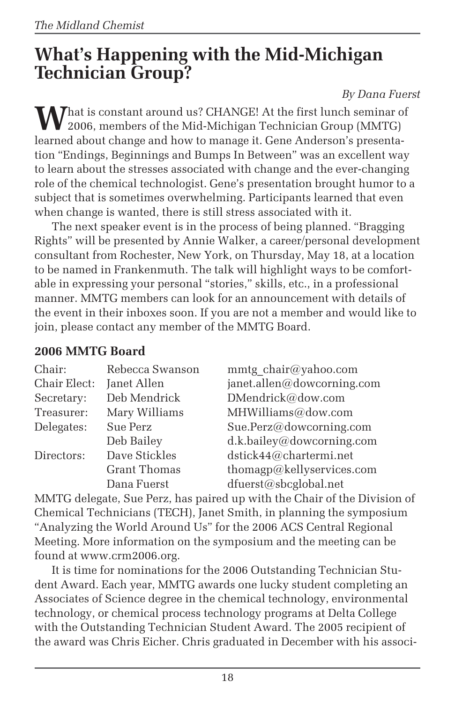# **What's Happening with the Mid-Michigan Technician Group?**

#### *By Dana Fuerst*

That is constant around us? CHANGE! At the first lunch seminar of 2006, members of the Mid-Michigan Technician Group (MMTG) learned about change and how to manage it. Gene Anderson's presentation "Endings, Beginnings and Bumps In Between" was an excellent way to learn about the stresses associated with change and the ever-changing role of the chemical technologist. Gene's presentation brought humor to a subject that is sometimes overwhelming. Participants learned that even when change is wanted, there is still stress associated with it.

The next speaker event is in the process of being planned. "Bragging Rights" will be presented by Annie Walker, a career/personal development consultant from Rochester, New York, on Thursday, May 18, at a location to be named in Frankenmuth. The talk will highlight ways to be comfortable in expressing your personal "stories," skills, etc., in a professional manner. MMTG members can look for an announcement with details of the event in their inboxes soon. If you are not a member and would like to join, please contact any member of the MMTG Board.

### **2006 MMTG Board**

| Rebecca Swanson     | mmtg chair@yahoo.com       |
|---------------------|----------------------------|
| Janet Allen         | janet.allen@dowcorning.com |
| Deb Mendrick        | DMendrick@dow.com          |
| Mary Williams       | MHWilliams@dow.com         |
| Sue Perz            | Sue.Perz@dowcorning.com    |
| Deb Bailey          | d.k.bailey@dowcorning.com  |
| Dave Stickles       | dstick44@chartermi.net     |
| <b>Grant Thomas</b> | thomagp@kellyservices.com  |
| Dana Fuerst         | dfuerst@sbcglobal.net      |
|                     |                            |

MMTG delegate, Sue Perz, has paired up with the Chair of the Division of Chemical Technicians (TECH), Janet Smith, in planning the symposium "Analyzing the World Around Us" for the 2006 ACS Central Regional Meeting. More information on the symposium and the meeting can be found at www.crm2006.org.

It is time for nominations for the 2006 Outstanding Technician Student Award. Each year, MMTG awards one lucky student completing an Associates of Science degree in the chemical technology, environmental technology, or chemical process technology programs at Delta College with the Outstanding Technician Student Award. The 2005 recipient of the award was Chris Eicher. Chris graduated in December with his associ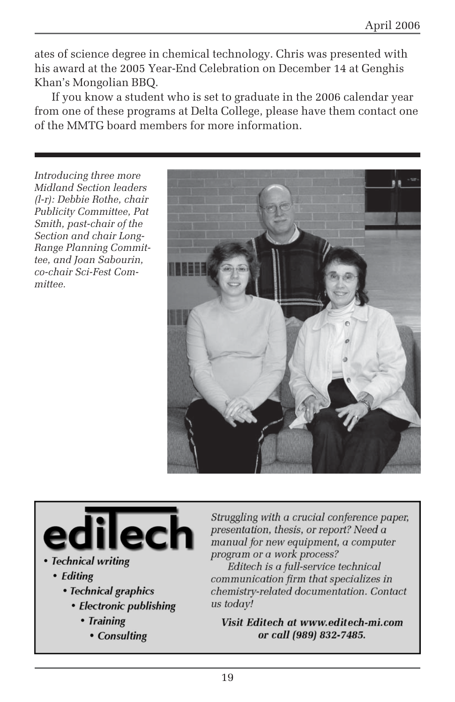ates of science degree in chemical technology. Chris was presented with his award at the 2005 Year-End Celebration on December 14 at Genghis Khan's Mongolian BBQ.

If you know a student who is set to graduate in the 2006 calendar year from one of these programs at Delta College, please have them contact one of the MMTG board members for more information.

*Introducing three more Midland Section leaders (l-r): Debbie Rothe, chair Publicity Committee, Pat Smith, past-chair of the Section and chair Long-Range Planning Committee, and Joan Sabourin, co-chair Sci-Fest Committee.*



- Technical writing
	- Editing
		- Technical graphics
			- Electronic publishing
				- Training
					- Consulting

Struggling with a crucial conference paper, presentation, thesis, or report? Need a manual for new equipment, a computer program or a work process?

Editech is a full-service technical communication firm that specializes in chemistry-related documentation. Contact us todav!

Visit Editech at www.editech-mi.com or call (989) 832-7485.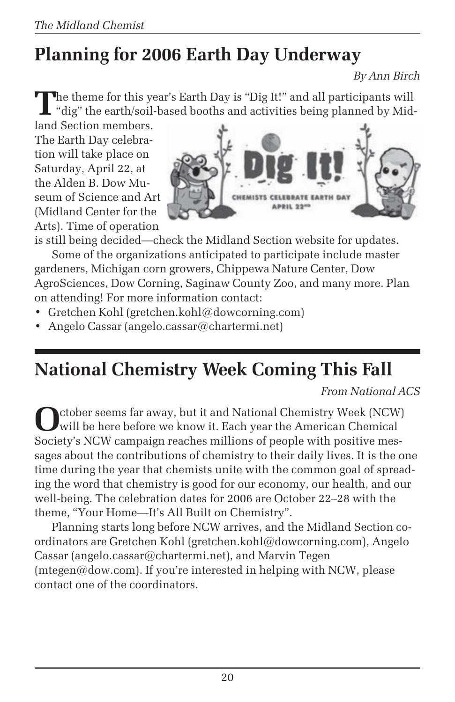# **Planning for 2006 Earth Day Underway**

*By Ann Birch*

**T**he theme for this year's Earth Day is "Dig It!" and all participants will . "dig" the earth/soil-based booths and activities being planned by Mid-

land Section members. The Earth Day celebration will take place on Saturday, April 22, at the Alden B. Dow Museum of Science and Art (Midland Center for the Arts). Time of operation



is still being decided—check the Midland Section website for updates.

Some of the organizations anticipated to participate include master gardeners, Michigan corn growers, Chippewa Nature Center, Dow AgroSciences, Dow Corning, Saginaw County Zoo, and many more. Plan on attending! For more information contact:

- Gretchen Kohl (gretchen.kohl@dowcorning.com)
- Angelo Cassar (angelo.cassar@chartermi.net)

# **National Chemistry Week Coming This Fall**

*From National ACS*

October seems far away, but it and National Chemistry Week (NCW)<br>will be here before we know it. Each year the American Chemical<br>will be here before we know it. Each year the American Chemical Society's NCW campaign reaches millions of people with positive messages about the contributions of chemistry to their daily lives. It is the one time during the year that chemists unite with the common goal of spreading the word that chemistry is good for our economy, our health, and our well-being. The celebration dates for 2006 are October 22–28 with the theme, "Your Home—It's All Built on Chemistry".

Planning starts long before NCW arrives, and the Midland Section coordinators are Gretchen Kohl (gretchen.kohl@dowcorning.com), Angelo Cassar (angelo.cassar@chartermi.net), and Marvin Tegen  $(mtegen@down.com)$ . If you're interested in helping with NCW, please contact one of the coordinators.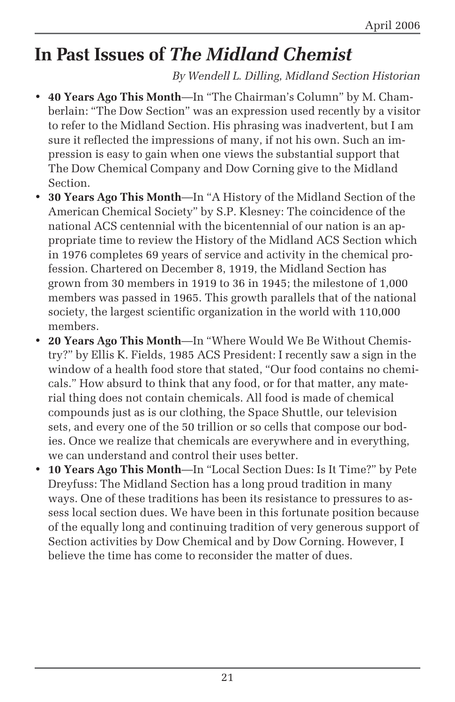# **In Past Issues of** *The Midland Chemist*

*By Wendell L. Dilling, Midland Section Historian*

- **40 Years Ago This Month**—In "The Chairman's Column" by M. Chamberlain: "The Dow Section" was an expression used recently by a visitor to refer to the Midland Section. His phrasing was inadvertent, but I am sure it reflected the impressions of many, if not his own. Such an impression is easy to gain when one views the substantial support that The Dow Chemical Company and Dow Corning give to the Midland Section.
- **30 Years Ago This Month**—In "A History of the Midland Section of the American Chemical Society" by S.P. Klesney: The coincidence of the national ACS centennial with the bicentennial of our nation is an appropriate time to review the History of the Midland ACS Section which in 1976 completes 69 years of service and activity in the chemical profession. Chartered on December 8, 1919, the Midland Section has grown from 30 members in 1919 to 36 in 1945; the milestone of 1,000 members was passed in 1965. This growth parallels that of the national society, the largest scientific organization in the world with 110,000 members.
- **20 Years Ago This Month**—In "Where Would We Be Without Chemistry?" by Ellis K. Fields, 1985 ACS President: I recently saw a sign in the window of a health food store that stated, "Our food contains no chemicals." How absurd to think that any food, or for that matter, any material thing does not contain chemicals. All food is made of chemical compounds just as is our clothing, the Space Shuttle, our television sets, and every one of the 50 trillion or so cells that compose our bodies. Once we realize that chemicals are everywhere and in everything, we can understand and control their uses better.
- **10 Years Ago This Month**—In "Local Section Dues: Is It Time?" by Pete Dreyfuss: The Midland Section has a long proud tradition in many ways. One of these traditions has been its resistance to pressures to assess local section dues. We have been in this fortunate position because of the equally long and continuing tradition of very generous support of Section activities by Dow Chemical and by Dow Corning. However, I believe the time has come to reconsider the matter of dues.